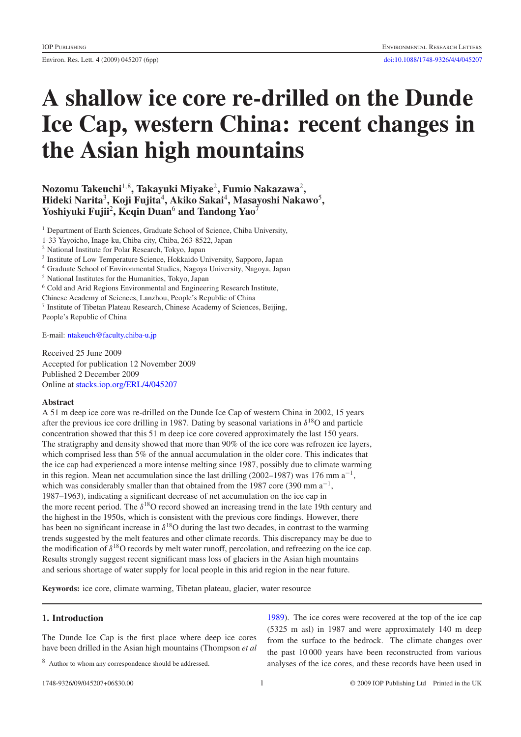Environ. Res. Lett. **4** (2009) 045207 (6pp) [doi:10.1088/1748-9326/4/4/045207](http://dx.doi.org/10.1088/1748-9326/4/4/045207)

# **A shallow ice core re-drilled on the Dunde Ice Cap, western China: recent changes in the Asian high mountains**

# **Nozomu Takeuchi**<sup>1</sup>,<sup>8</sup> **, Takayuki Miyake**<sup>2</sup> **, Fumio Nakazawa**<sup>2</sup> **, Hideki Narita**<sup>3</sup> **, Koji Fujita**<sup>4</sup> **, Akiko Sakai**<sup>4</sup> **, Masayoshi Nakawo**<sup>5</sup> **, Yoshiyuki Fujii**<sup>2</sup>**, Keqin Duan**<sup>6</sup> **and Tandong Yao**<sup>7</sup>

<sup>1</sup> Department of Earth Sciences, Graduate School of Science, Chiba University,

1-33 Yayoicho, Inage-ku, Chiba-city, Chiba, 263-8522, Japan

- <sup>2</sup> National Institute for Polar Research, Tokyo, Japan
- <sup>3</sup> Institute of Low Temperature Science, Hokkaido University, Sapporo, Japan
- <sup>4</sup> Graduate School of Environmental Studies, Nagoya University, Nagoya, Japan
- <sup>5</sup> National Institutes for the Humanities, Tokyo, Japan
- <sup>6</sup> Cold and Arid Regions Environmental and Engineering Research Institute,
- Chinese Academy of Sciences, Lanzhou, People's Republic of China
- <sup>7</sup> Institute of Tibetan Plateau Research, Chinese Academy of Sciences, Beijing,

People's Republic of China

E-mail: [ntakeuch@faculty.chiba-u.jp](mailto:ntakeuch@faculty.chiba-u.jp)

Received 25 June 2009 Accepted for publication 12 November 2009 Published 2 December 2009 Online at [stacks.iop.org/ERL/4/045207](http://stacks.iop.org/ERL/4/045207)

#### **Abstract**

A 51 m deep ice core was re-drilled on the Dunde Ice Cap of western China in 2002, 15 years after the previous ice core drilling in 1987. Dating by seasonal variations in  $\delta^{18}$ O and particle concentration showed that this 51 m deep ice core covered approximately the last 150 years. The stratigraphy and density showed that more than 90% of the ice core was refrozen ice layers, which comprised less than 5% of the annual accumulation in the older core. This indicates that the ice cap had experienced a more intense melting since 1987, possibly due to climate warming in this region. Mean net accumulation since the last drilling (2002–1987) was 176 mm  $a^{-1}$ , which was considerably smaller than that obtained from the 1987 core (390 mm a<sup>-1</sup>, 1987–1963), indicating a significant decrease of net accumulation on the ice cap in the more recent period. The  $\delta^{18}$ O record showed an increasing trend in the late 19th century and the highest in the 1950s, which is consistent with the previous core findings. However, there has been no significant increase in  $\delta^{18}$ O during the last two decades, in contrast to the warming trends suggested by the melt features and other climate records. This discrepancy may be due to the modification of  $\delta^{18}$ O records by melt water runoff, percolation, and refreezing on the ice cap. Results strongly suggest recent significant mass loss of glaciers in the Asian high mountains and serious shortage of water supply for local people in this arid region in the near future.

**Keywords:** ice core, climate warming, Tibetan plateau, glacier, water resource

# **1. Introduction**

The Dunde Ice Cap is the first place where deep ice cores have been drilled in the Asian high mountains (Thompson *et al*

<sup>8</sup> Author to whom any correspondence should be addressed.

[1989\)](#page-5-0). The ice cores were recovered at the top of the ice cap (5325 m asl) in 1987 and were approximately 140 m deep from the surface to the bedrock. The climate changes over the past 10 000 years have been reconstructed from various analyses of the ice cores, and these records have been used in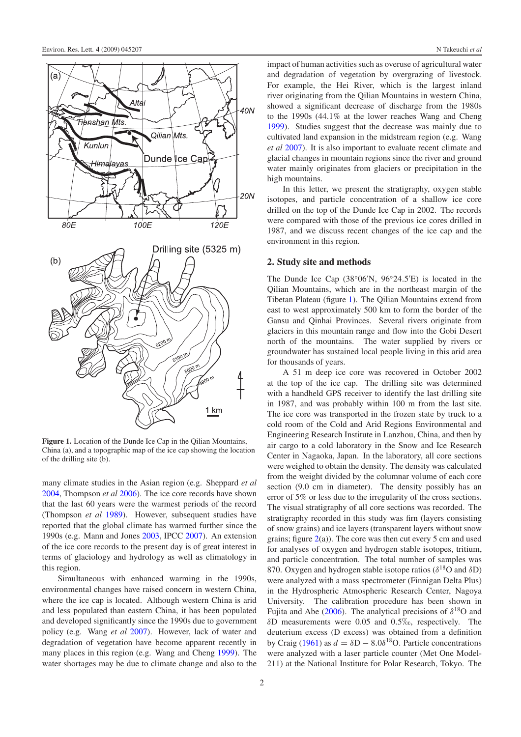<span id="page-1-0"></span>

**Figure 1.** Location of the Dunde Ice Cap in the Qilian Mountains, China (a), and a topographic map of the ice cap showing the location of the drilling site (b).

many climate studies in the Asian region (e.g. Sheppard *et al* [2004,](#page-5-1) Thompson *et al* [2006\)](#page-5-2). The ice core records have shown that the last 60 years were the warmest periods of the record (Thompson *et al* [1989\)](#page-5-0). However, subsequent studies have reported that the global climate has warmed further since the 1990s (e.g. Mann and Jones [2003,](#page-5-3) IPCC [2007\)](#page-5-4). An extension of the ice core records to the present day is of great interest in terms of glaciology and hydrology as well as climatology in this region.

Simultaneous with enhanced warming in the 1990s, environmental changes have raised concern in western China, where the ice cap is located. Although western China is arid and less populated than eastern China, it has been populated and developed significantly since the 1990s due to government policy (e.g. Wang *et al* [2007\)](#page-5-5). However, lack of water and degradation of vegetation have become apparent recently in many places in this region (e.g. Wang and Cheng [1999\)](#page-5-6). The water shortages may be due to climate change and also to the impact of human activities such as overuse of agricultural water and degradation of vegetation by overgrazing of livestock. For example, the Hei River, which is the largest inland river originating from the Qilian Mountains in western China, showed a significant decrease of discharge from the 1980s to the 1990s (44.1% at the lower reaches Wang and Cheng [1999\)](#page-5-6). Studies suggest that the decrease was mainly due to cultivated land expansion in the midstream region (e.g. Wang *et al* [2007\)](#page-5-5). It is also important to evaluate recent climate and glacial changes in mountain regions since the river and ground water mainly originates from glaciers or precipitation in the high mountains.

In this letter, we present the stratigraphy, oxygen stable isotopes, and particle concentration of a shallow ice core drilled on the top of the Dunde Ice Cap in 2002. The records were compared with those of the previous ice cores drilled in 1987, and we discuss recent changes of the ice cap and the environment in this region.

## **2. Study site and methods**

The Dunde Ice Cap (38◦06 N, 96◦24.5 E) is located in the Qilian Mountains, which are in the northeast margin of the Tibetan Plateau (figure [1\)](#page-1-0). The Qilian Mountains extend from east to west approximately 500 km to form the border of the Gansu and Qinhai Provinces. Several rivers originate from glaciers in this mountain range and flow into the Gobi Desert north of the mountains. The water supplied by rivers or groundwater has sustained local people living in this arid area for thousands of years.

A 51 m deep ice core was recovered in October 2002 at the top of the ice cap. The drilling site was determined with a handheld GPS receiver to identify the last drilling site in 1987, and was probably within 100 m from the last site. The ice core was transported in the frozen state by truck to a cold room of the Cold and Arid Regions Environmental and Engineering Research Institute in Lanzhou, China, and then by air cargo to a cold laboratory in the Snow and Ice Research Center in Nagaoka, Japan. In the laboratory, all core sections were weighed to obtain the density. The density was calculated from the weight divided by the columnar volume of each core section (9.0 cm in diameter). The density possibly has an error of 5% or less due to the irregularity of the cross sections. The visual stratigraphy of all core sections was recorded. The stratigraphy recorded in this study was firn (layers consisting of snow grains) and ice layers (transparent layers without snow grains; figure  $2(a)$  $2(a)$ ). The core was then cut every 5 cm and used for analyses of oxygen and hydrogen stable isotopes, tritium, and particle concentration. The total number of samples was 870. Oxygen and hydrogen stable isotope ratios ( $\delta^{18}$ O and  $\delta$ D) were analyzed with a mass spectrometer (Finnigan Delta Plus) in the Hydrospheric Atmospheric Research Center, Nagoya University. The calibration procedure has been shown in Fujita and Abe [\(2006\)](#page-5-7). The analytical precisions of  $\delta^{18}$ O and  $\delta$ D measurements were 0.05 and 0.5‰, respectively. The deuterium excess (D excess) was obtained from a definition by Craig [\(1961\)](#page-5-8) as  $d = \delta D - 8.0\delta^{18}O$ . Particle concentrations were analyzed with a laser particle counter (Met One Model-211) at the National Institute for Polar Research, Tokyo. The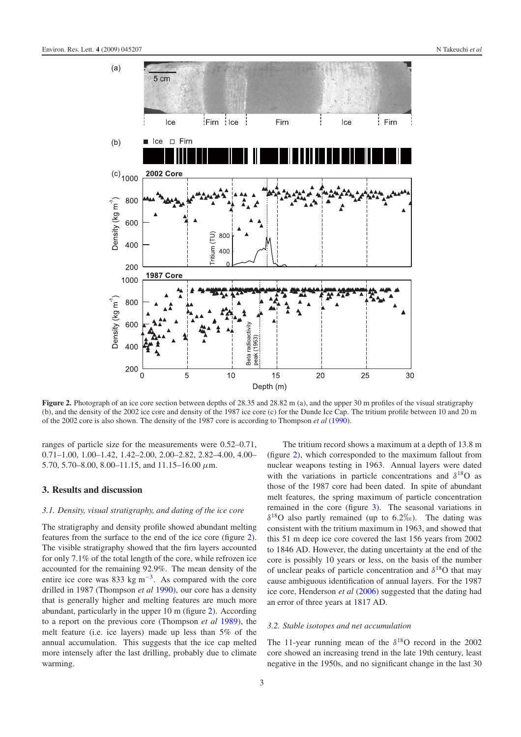<span id="page-2-0"></span>

**Figure 2.** Photograph of an ice core section between depths of 28.35 and 28.82 m (a), and the upper 30 m profiles of the visual stratigraphy (b), and the density of the 2002 ice core and density of the 1987 ice core (c) for the Dunde Ice Cap. The tritium profile between 10 and 20 m of the 2002 core is also shown. The density of the 1987 core is according to Thompson *et al* [\(1990\)](#page-5-9).

ranges of particle size for the measurements were 0.52–0.71, 0.71–1.00, 1.00–1.42, 1.42–2.00, 2.00–2.82, 2.82–4.00, 4.00– 5.70, 5.70–8.00, 8.00–11.15, and 11.15–16.00  $\mu$ m.

#### **3. Results and discussion**

# *3.1. Density, visual stratigraphy, and dating of the ice core*

The stratigraphy and density profile showed abundant melting features from the surface to the end of the ice core (figure [2\)](#page-2-0). The visible stratigraphy showed that the firn layers accounted for only 7.1% of the total length of the core, while refrozen ice accounted for the remaining 92.9%. The mean density of the entire ice core was 833 kg m<sup>−</sup>3. As compared with the core drilled in 1987 (Thompson *et al* [1990\)](#page-5-9), our core has a density that is generally higher and melting features are much more abundant, particularly in the upper 10 m (figure [2\)](#page-2-0). According to a report on the previous core (Thompson *et al* [1989\)](#page-5-0), the melt feature (i.e. ice layers) made up less than 5% of the annual accumulation. This suggests that the ice cap melted more intensely after the last drilling, probably due to climate warming.

The tritium record shows a maximum at a depth of 13.8 m (figure [2\)](#page-2-0), which corresponded to the maximum fallout from nuclear weapons testing in 1963. Annual layers were dated with the variations in particle concentrations and  $\delta^{18}$ O as those of the 1987 core had been dated. In spite of abundant melt features, the spring maximum of particle concentration remained in the core (figure [3\)](#page-3-0). The seasonal variations in  $\delta^{18}$ O also partly remained (up to 6.2\%). The dating was consistent with the tritium maximum in 1963, and showed that this 51 m deep ice core covered the last 156 years from 2002 to 1846 AD. However, the dating uncertainty at the end of the core is possibly 10 years or less, on the basis of the number of unclear peaks of particle concentration and  $\delta^{18}$ O that may cause ambiguous identification of annual layers. For the 1987 ice core, Henderson *et al* [\(2006\)](#page-5-10) suggested that the dating had an error of three years at 1817 AD.

#### *3.2. Stable isotopes and net accumulation*

The 11-year running mean of the  $\delta^{18}$ O record in the 2002 core showed an increasing trend in the late 19th century, least negative in the 1950s, and no significant change in the last 30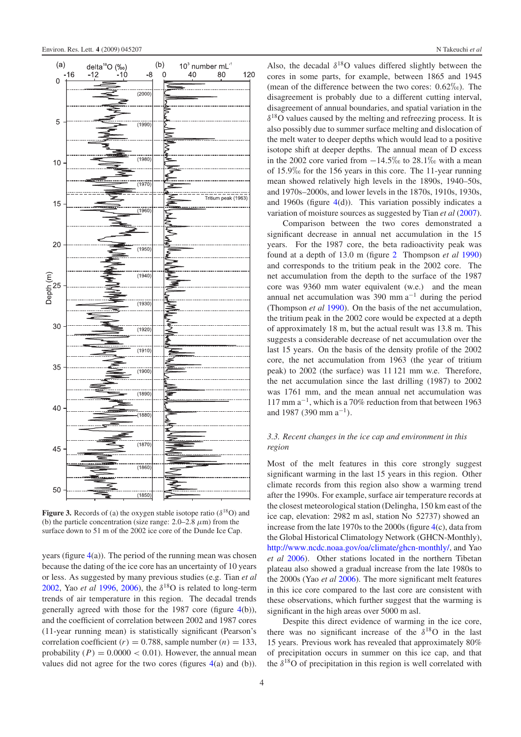<span id="page-3-0"></span>

**Figure 3.** Records of (a) the oxygen stable isotope ratio ( $\delta^{18}O$ ) and (b) the particle concentration (size range:  $2.0-2.8 \mu m$ ) from the surface down to 51 m of the 2002 ice core of the Dunde Ice Cap.

years (figure  $4(a)$  $4(a)$ ). The period of the running mean was chosen because the dating of the ice core has an uncertainty of 10 years or less. As suggested by many previous studies (e.g. Tian *et al* [2002,](#page-5-11) Yao *et al* [1996,](#page-5-12) [2006\)](#page-5-13), the  $\delta^{18}$ O is related to long-term trends of air temperature in this region. The decadal trends generally agreed with those for the 1987 core (figure [4\(](#page-4-0)b)), and the coefficient of correlation between 2002 and 1987 cores (11-year running mean) is statistically significant (Pearson's correlation coefficient  $(r) = 0.788$ , sample number  $(n) = 133$ , probability  $(P) = 0.0000 < 0.01$ . However, the annual mean values did not agree for the two cores (figures [4\(](#page-4-0)a) and (b)). Also, the decadal  $\delta^{18}$ O values differed slightly between the cores in some parts, for example, between 1865 and 1945 (mean of the difference between the two cores:  $0.62\%$ ). The disagreement is probably due to a different cutting interval, disagreement of annual boundaries, and spatial variation in the  $\delta^{18}$ O values caused by the melting and refreezing process. It is also possibly due to summer surface melting and dislocation of the melt water to deeper depths which would lead to a positive isotope shift at deeper depths. The annual mean of D excess in the 2002 core varied from  $-14.5\%$  to 28.1‰ with a mean of  $15.9\%$  for the 156 years in this core. The 11-year running mean showed relatively high levels in the 1890s, 1940–50s, and 1970s–2000s, and lower levels in the 1870s, 1910s, 1930s, and 1960s (figure  $4(d)$  $4(d)$ ). This variation possibly indicates a variation of moisture sources as suggested by Tian *et al* [\(2007\)](#page-5-14).

Comparison between the two cores demonstrated a significant decrease in annual net accumulation in the 15 years. For the 1987 core, the beta radioactivity peak was found at a depth of 13.0 m (figure [2](#page-2-0) Thompson *et al* [1990\)](#page-5-9) and corresponds to the tritium peak in the 2002 core. The net accumulation from the depth to the surface of the 1987 core was 9360 mm water equivalent (w.e.) and the mean annual net accumulation was 390 mm  $a^{-1}$  during the period (Thompson *et al* [1990\)](#page-5-9). On the basis of the net accumulation, the tritium peak in the 2002 core would be expected at a depth of approximately 18 m, but the actual result was 13.8 m. This suggests a considerable decrease of net accumulation over the last 15 years. On the basis of the density profile of the 2002 core, the net accumulation from 1963 (the year of tritium peak) to 2002 (the surface) was 11 121 mm w.e. Therefore, the net accumulation since the last drilling (1987) to 2002 was 1761 mm, and the mean annual net accumulation was 117 mm a<sup>−</sup>1, which is a 70% reduction from that between 1963 and 1987 (390 mm  $a^{-1}$ ).

# *3.3. Recent changes in the ice cap and environment in this region*

Most of the melt features in this core strongly suggest significant warming in the last 15 years in this region. Other climate records from this region also show a warming trend after the 1990s. For example, surface air temperature records at the closest meteorological station (Delingha, 150 km east of the ice cap, elevation: 2982 m asl, station No 52737) showed an increase from the late 1970s to the 2000s (figure [4\(](#page-4-0)c), data from the Global Historical Climatology Network (GHCN-Monthly), [http://www.ncdc.noaa.gov/oa/climate/ghcn-monthly/,](http://www.ncdc.noaa.gov/oa/climate/ghcn-monthly/) and Yao *et al* [2006\)](#page-5-13). Other stations located in the northern Tibetan plateau also showed a gradual increase from the late 1980s to the 2000s (Yao *et al* [2006\)](#page-5-13). The more significant melt features in this ice core compared to the last core are consistent with these observations, which further suggest that the warming is significant in the high areas over 5000 m asl.

Despite this direct evidence of warming in the ice core, there was no significant increase of the  $\delta^{18}$ O in the last 15 years. Previous work has revealed that approximately 80% of precipitation occurs in summer on this ice cap, and that the  $\delta^{18}$ O of precipitation in this region is well correlated with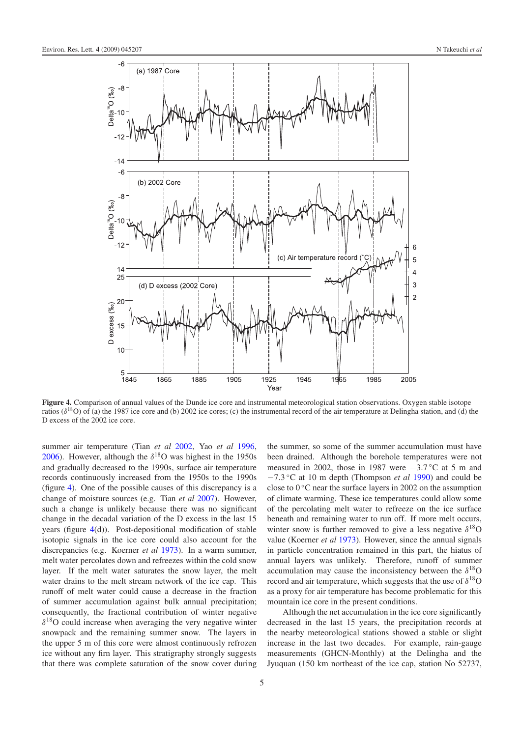<span id="page-4-0"></span>

**Figure 4.** Comparison of annual values of the Dunde ice core and instrumental meteorological station observations. Oxygen stable isotope ratios ( $\delta^{18}$ O) of (a) the 1987 ice core and (b) 2002 ice cores; (c) the instrumental record of the air temperature at Delingha station, and (d) the D excess of the 2002 ice core.

summer air temperature (Tian *et al* [2002,](#page-5-11) Yao *et al* [1996,](#page-5-12) [2006\)](#page-5-13). However, although the  $\delta^{18}$ O was highest in the 1950s and gradually decreased to the 1990s, surface air temperature records continuously increased from the 1950s to the 1990s (figure [4\)](#page-4-0). One of the possible causes of this discrepancy is a change of moisture sources (e.g. Tian *et al* [2007\)](#page-5-14). However, such a change is unlikely because there was no significant change in the decadal variation of the D excess in the last 15 years (figure [4\(](#page-4-0)d)). Post-depositional modification of stable isotopic signals in the ice core could also account for the discrepancies (e.g. Koerner *et al* [1973\)](#page-5-15). In a warm summer, melt water percolates down and refreezes within the cold snow layer. If the melt water saturates the snow layer, the melt water drains to the melt stream network of the ice cap. This runoff of melt water could cause a decrease in the fraction of summer accumulation against bulk annual precipitation; consequently, the fractional contribution of winter negative  $\delta^{18}$ O could increase when averaging the very negative winter snowpack and the remaining summer snow. The layers in the upper 5 m of this core were almost continuously refrozen ice without any firn layer. This stratigraphy strongly suggests that there was complete saturation of the snow cover during the summer, so some of the summer accumulation must have been drained. Although the borehole temperatures were not measured in 2002, those in 1987 were  $-3.7$ °C at 5 m and −7.3 ◦C at 10 m depth (Thompson *et al* [1990\)](#page-5-9) and could be close to  $0^{\circ}$ C near the surface layers in 2002 on the assumption of climate warming. These ice temperatures could allow some of the percolating melt water to refreeze on the ice surface beneath and remaining water to run off. If more melt occurs, winter snow is further removed to give a less negative  $\delta^{18}O$ value (Koerner *et al* [1973\)](#page-5-15). However, since the annual signals in particle concentration remained in this part, the hiatus of annual layers was unlikely. Therefore, runoff of summer accumulation may cause the inconsistency between the  $\delta^{18}O$ record and air temperature, which suggests that the use of  $\delta^{18}O$ as a proxy for air temperature has become problematic for this mountain ice core in the present conditions.

Although the net accumulation in the ice core significantly decreased in the last 15 years, the precipitation records at the nearby meteorological stations showed a stable or slight increase in the last two decades. For example, rain-gauge measurements (GHCN-Monthly) at the Delingha and the Jyuquan (150 km northeast of the ice cap, station No 52737,